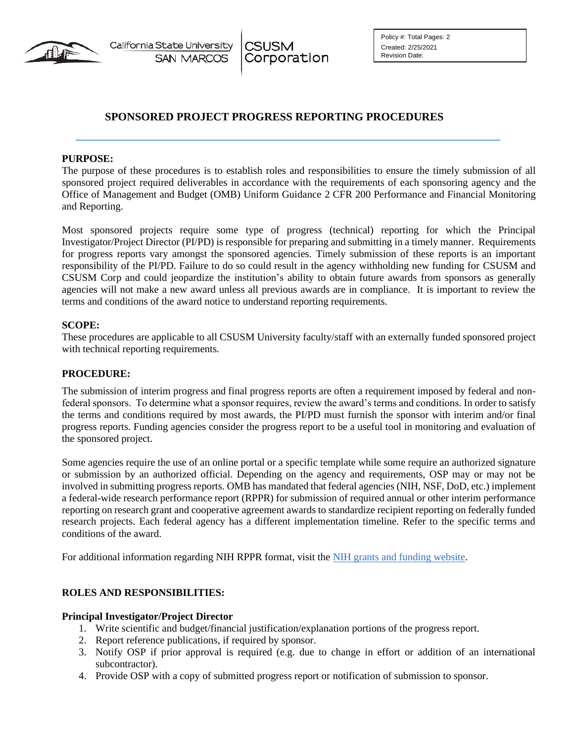

**CSUSM** Corporation

# **SPONSORED PROJECT PROGRESS REPORTING PROCEDURES**

### **PURPOSE:**

The purpose of these procedures is to establish roles and responsibilities to ensure the timely submission of all sponsored project required deliverables in accordance with the requirements of each sponsoring agency and the Office of Management and Budget (OMB) Uniform Guidance 2 CFR 200 Performance and Financial Monitoring and Reporting.

Most sponsored projects require some type of progress (technical) reporting for which the Principal Investigator/Project Director (PI/PD) is responsible for preparing and submitting in a timely manner. Requirements for progress reports vary amongst the sponsored agencies. Timely submission of these reports is an important responsibility of the PI/PD. Failure to do so could result in the agency withholding new funding for CSUSM and CSUSM Corp and could jeopardize the institution's ability to obtain future awards from sponsors as generally agencies will not make a new award unless all previous awards are in compliance. It is important to review the terms and conditions of the award notice to understand reporting requirements.

### **SCOPE:**

These procedures are applicable to all CSUSM University faculty/staff with an externally funded sponsored project with technical reporting requirements.

### **PROCEDURE:**

The submission of interim progress and final progress reports are often a requirement imposed by federal and nonfederal sponsors. To determine what a sponsor requires, review the award's terms and conditions. In order to satisfy the terms and conditions required by most awards, the PI/PD must furnish the sponsor with interim and/or final progress reports. Funding agencies consider the progress report to be a useful tool in monitoring and evaluation of the sponsored project.

Some agencies require the use of an online portal or a specific template while some require an authorized signature or submission by an authorized official. Depending on the agency and requirements, OSP may or may not be involved in submitting progress reports. OMB has mandated that federal agencies (NIH, NSF, DoD, etc.) implement a federal-wide research performance report (RPPR) for submission of required annual or other interim performance reporting on research grant and cooperative agreement awards to standardize recipient reporting on federally funded research projects. Each federal agency has a different implementation timeline. Refer to the specific terms and conditions of the award.

For additional information regarding NIH RPPR format, visit the NIH grants and funding [website.](http://grants.nih.gov/grants/rppr/)

### **ROLES AND RESPONSIBILITIES:**

### **Principal Investigator/Project Director**

- 1. Write scientific and budget/financial justification/explanation portions of the progress report.
- 2. Report reference publications, if required by sponsor.
- 3. Notify OSP if prior approval is required (e.g. due to change in effort or addition of an international subcontractor).
- 4. Provide OSP with a copy of submitted progress report or notification of submission to sponsor.